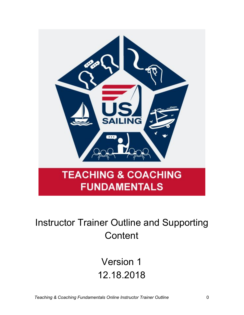

## Instructor Trainer Outline and Supporting **Content**

# Version 1 12.18.2018

*Teaching & Coaching Fundamentals Online Instructor Trainer Outline* 0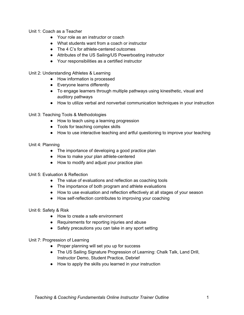Unit 1: Coach as a Teacher

- Your role as an instructor or coach
- What students want from a coach or instructor
- The 4 C's for athlete-centered outcomes
- Attributes of the US Sailing/US Powerboating instructor
- Your responsibilities as a certified instructor

Unit 2: Understanding Athletes & Learning

- How information is processed
- Everyone learns differently
- To engage learners through multiple pathways using kinesthetic, visual and auditory pathways
- How to utilize verbal and nonverbal communication techniques in your instruction

Unit 3: Teaching Tools & Methodologies

- How to teach using a learning progression
- Tools for teaching complex skills
- How to use interactive teaching and artful questioning to improve your teaching

#### Unit 4: Planning

- The importance of developing a good practice plan
- How to make your plan athlete-centered
- How to modify and adjust your practice plan

#### Unit 5: Evaluation & Reflection

- The value of evaluations and reflection as coaching tools
- The importance of both program and athlete evaluations
- How to use evaluation and reflection effectively at all stages of your season
- How self-reflection contributes to improving your coaching

Unit 6: Safety & Risk

- How to create a safe environment
- Requirements for reporting injuries and abuse
- Safety precautions you can take in any sport setting

Unit 7: Progression of Learning

- Proper planning will set you up for success
- The US Sailing Signature Progression of Learning: Chalk Talk, Land Drill, Instructor Demo, Student Practice, Debrief
- How to apply the skills you learned in your instruction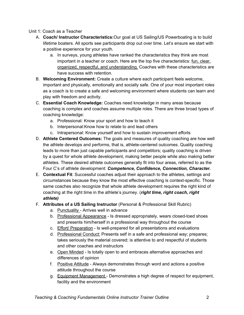#### Unit 1: Coach as a Teacher

- A. **Coach/ Instructor Characteristics:**Our goal at US Sailing/US Powerboating is to build lifetime boaters. All sports see participants drop out over time. Let's ensure we start with a positive experience for your youth.
	- a. In surveys, young athletes have ranked the characteristics they think are most important in a teacher or coach. Here are the top five characteristics: fun, clear, organized, respectful, and understanding. Coaches with these characteristics are have success with retention.
- B. **Welcoming Environment:** Create a culture where each participant feels welcome, important and physically, emotionally and socially safe. One of your most important roles as a coach is to create a safe and welcoming environment where students can learn and play with freedom and activity.
- C. **Essential Coach Knowledge:** Coaches need knowledge in many areas because coaching is complex and coaches assume multiple roles. There are three broad types of coaching knowledge:
	- a. Professional: Know your sport and how to teach it
	- b. Interpersonal:Know how to relate to and lead others
	- c. Intrapersonal: Know yourself and how to sustain improvement efforts
- D. **Athlete Centered Outcomes:** The goals and measures of quality coaching are how well the athlete develops and performs, that is, athlete-centered outcomes. Quality coaching leads to more than just capable participants and competitors; quality coaching is driven by a quest for whole athlete development, making better people while also making better athletes. These desired athlete outcomes generally fit into four areas, referred to as the Four C's of athlete development: *Competence, Confidence, Connection, Character.*
- E. **Contextual Fit**: Successful coaches adjust their approach to the athletes, settings and circumstances because they know the most effective coaching is context-specific. Those same coaches also recognize that whole athlete development requires the right kind of coaching at the right time in the athlete's journey. (*right time, right coach, right athlete)*
- F. **Attributes of a US Sailing Instructor** (Personal & Professional Skill Rubric)
	- a. Punctuality Arrives well in advance
	- b. Professional Appearance Is dressed appropriately, wears closed-toed shoes and presents him/herself in a professional way throughout the course
	- c. Effort/ Preparation Is well-prepared for all presentations and evaluations
	- d. Professional Conduct: Presents self in a safe and professional way; prepares; takes seriously the material covered; is attentive to and respectful of students and other coaches and instructors
	- e. Open Minded Is totally open to and embraces alternative approaches and differences of opinion
	- f. Positive Attitude Always demonstrates through word and actions a positive attitude throughout the course
	- g. Equipment Management Demonstrates a high degree of respect for equipment, facility and the environment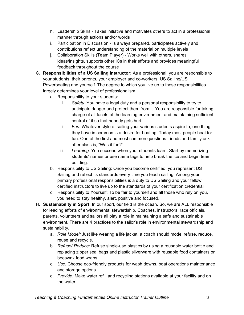- h. Leadership Skills Takes initiative and motivates others to act in a professional manner through actions and/or words
- i. Participation in Discussion Is always prepared, participates actively and contributions reflect understanding of the material on multiple levels
- j. Collaboration Skills (Team Player) Works well with others, shares ideas/insights, supports other ICs in their efforts and provides meaningful feedback throughout the course
- G. **Responsibilities of a US Sailing Instructor:** As a professional, you are responsible to your students, their parents, your employer and co-workers, US Sailing/US Powerboating and yourself. The degree to which you live up to those responsibilities largely determines your level of professionalism
	- a. Responsibility to your students:
		- i. *Safety:* You have a legal duty and a personal responsibility to try to anticipate danger and protect them from it. You are responsible for taking charge of all facets of the learning environment and maintaining sufficient control of it so that nobody gets hurt.
		- ii. *Fun:* Whatever style of sailing your various students aspire to, one thing they have in common is a desire for boating. Today most people boat for fun. One of the first and most common questions friends and family ask after class is, "Was it fun?"
		- iii. *Learning:* You succeed when your students learn. Start by memorizing students' names or use name tags to help break the ice and begin team building.
	- b. Responsibility to US Sailing: Once you become certified, you represent US Sailing and reflect its standards every time you teach sailing. Among your primary professional responsibilities is a duty to US Sailing and your fellow certified instructors to live up to the standards of your certification credential
	- c. Responsibility to Yourself: To be fair to yourself and all those who rely on you, you need to stay healthy, alert, positive and focused.
- H. **Sustainability in Sport:** In our sport, our field is the ocean. So, we are ALL responsible for leading efforts of environmental stewardship. Coaches, instructors, race officials, parents, volunteers and sailors all play a role in maintaining a safe and sustainable environment. There are 4 practices to the sailor's role in environmental stewardship and sustainability.
	- a. *Role Model:* Just like wearing a life jacket, a coach should model refuse, reduce, reuse and recycle.
	- b. *Refuse/ Reduce:* Refuse single-use plastics by using a reusable water bottle and replacing zipper seal bags and plastic silverware with reusable food containers or beeswax food wraps.
	- c. *Use:* Choose eco-friendly products for wash downs, boat operations maintenance and storage options.
	- d. *Provide:* Make water refill and recycling stations available at your facility and on the water.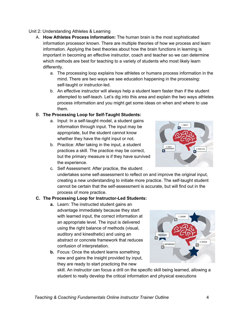#### Unit 2: Understanding Athletes & Learning

- A. **How Athletes Process Information:** The human brain is the most sophisticated information processor known. There are multiple theories of how we process and learn information. Applying the best theories about how the brain functions in learning is important in becoming an effective instructor, coach and teacher so we can determine which methods are best for teaching to a variety of students who most likely learn differently.
	- a. The processing loop explains how athletes or humans process information in the mind. There are two ways we see education happening in the processing: self-taught or instructor-led.
	- b. An effective instructor will always help a student learn faster than if the student attempted to self-teach. Let's dig into this area and explain the two ways athletes process information and you might get some ideas on when and where to use them.

#### B. **The Processing Loop for Self-Taught Students:**

- a. Input: In a self-taught model, a student gains information through input. The input may be appropriate, but the student cannot know whether they have the right input or not.
- b. Practice: After taking in the input, a student practices a skill. The practice may be correct, but the primary measure is if they have survived the experience.



c. Self Assessment: After practice, the student undertakes some self-assessment to reflect on and improve the original input, creating a new understanding to initiate more practice. The self-taught student cannot be certain that the self-assessment is accurate, but will find out in the process of more practice.

#### **C. The Processing Loop for Instructor-Led Students:**

- **a.** Learn: The instructed student gains an advantage immediately because they start with learned input, the correct information at an appropriate level. The input is delivered using the right balance of methods (visual, auditory and kinesthetic) and using an abstract or concrete framework that reduces confusion of interpretation.
- **b.** Focus: Once the student learns something new and gains the insight provided by input, they are ready to start practicing the new



skill. An instructor can focus a drill on the specific skill being learned, allowing a student to really develop the critical information and physical executions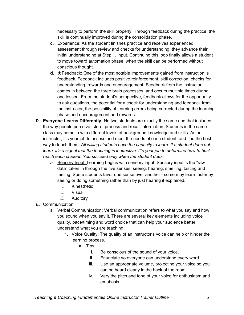necessary to perform the skill properly. Through feedback during the practice, the skill is continually improved during the consolidation phase.

- **c.** Experience: As the student finishes practice and receives experienced assessment through review and checks for understanding, they advance their initial understanding at Step 1, input. Continuing this loop finally allows a student to move toward automation phase, when the skill can be performed without conscious thought.
- **d.** ★Feedback: One of the most notable improvements gained from instruction is feedback. Feedback includes positive reinforcement, skill correction, checks for understanding, rewards and encouragement. Feedback from the instructor comes in between the three brain processes, and occurs multiple times during one lesson. From the student's perspective, feedback allows for the opportunity to ask questions, the potential for a check for understanding and feedback from the instructor, the possibility of learning errors being corrected during the learning phase and encouragement and rewards.
- **D. Everyone Learns Differently:** No two students are exactly the same and that includes the way people perceive, store, process and recall information. Students in the same class may come in with different levels of background knowledge and skills. As an instructor, it's your job to assess and meet the needs of each student, and find the best way to teach them. *All willing students have the capacity to learn. If a student does not learn, it's a signal that the teaching is ineffective. It's your job to determine how to best reach each student. You succeed only when the student does.*
	- *a.* Sensory Input: Learning begins with sensory input. Sensory input is the "raw data" taken in through the five senses: seeing, hearing, smelling, tasting and feeling. Some students favor one sense over another - some may learn faster by seeing or doing something rather than by just hearing it explained.
		- *i.* Kinesthetic
		- *ii.* Visual
		- *iii.* Auditory
- *E.* Communication:
	- a. Verbal Communication: Verbal communication refers to what you say and how you sound when you say it. There are several key elements including voice quality, pace/timing and word choice that can help your audience better understand what you are teaching.
		- **1.** Voice Quality: The quality of an instructor's voice can help or hinder the learning process.
			- **a.** Tips:
				- i. Be conscious of the sound of your voice.
				- ii. Enunciate so everyone can understand every word.
				- iii. Use an appropriate volume, projecting your voice so you can be heard clearly in the back of the room.
				- iv. Vary the pitch and tone of your voice for enthusiasm and emphasis.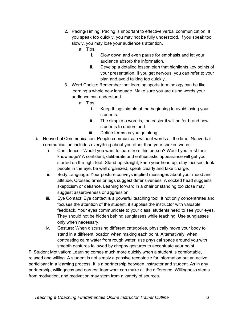- 2. Pacing/Timing: Pacing is important to effective verbal communication. If you speak too quickly, you may not be fully understood. If you speak too slowly, you may lose your audience's attention.
	- a. Tips:
		- i. Slow down and even pause for emphasis and let your audience absorb the information.
		- ii. Develop a detailed lesson plan that highlights key points of your presentation. If you get nervous, you can refer to your plan and avoid talking too quickly.
- 3. Word Choice: Remember that learning sports terminology can be like learning a whole new language. Make sure you are using words your audience can understand.
	- a. Tips:
		- i. Keep things simple at the beginning to avoid losing your students.
		- ii. The simpler a word is, the easier it will be for brand new students to understand.
		- iii. Define terms as you go along.
- b. Nonverbal Communication: People communicate without words all the time. Nonverbal communication includes everything about you other than your spoken words.
	- i. Confidence Would you want to learn from this person? Would you trust their knowledge? A confident, deliberate and enthusiastic appearance will get you started on the right foot. Stand up straight, keep your head up, stay focused, look people in the eye, be well organized, speak clearly and take charge.
	- ii. Body Language: Your posture conveys implied messages about your mood and attitude. Crossed arms or legs suggest defensiveness. A cocked head suggests skepticism or defiance. Leaning forward in a chair or standing too close may suggest assertiveness or aggression.
	- iii. Eye Contact: Eye contact is a powerful teaching tool. It not only concentrates and focuses the attention of the student, it supplies the instructor with valuable feedback. Your eyes communicate to your class; students need to see your eyes. They should not be hidden behind sunglasses while teaching. Use sunglasses only when necessary.
	- iv. Gesture: When discussing different categories, physically move your body to stand in a different location when making each point. Alternatively, when contrasting calm water from rough water, use physical space around you with smooth gestures followed by choppy gestures to accentuate your point.

F. Student Motivation: Learning comes much more quickly when a student is comfortable, relaxed and willing. A student is not simply a passive receptacle for information but an active participant in a learning process. It is a partnership between instructor and student. As in any partnership, willingness and earnest teamwork can make all the difference. Willingness stems from motivation, and motivation may stem from a variety of sources.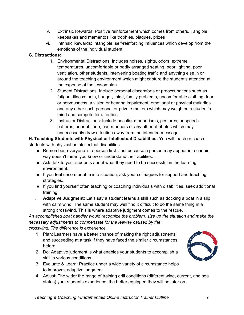- v. Extrinsic Rewards: Positive reinforcement which comes from others. Tangible keepsakes and mementos like trophies, plaques, prizes
- vi. Intrinsic Rewards: Intangible, self-reinforcing influences which develop from the emotions of the individual student

## **G. Distractions:**

- 1. Environmental Distractions: Includes noises, sights, odors, extreme temperatures, uncomfortable or badly arranged seating, poor lighting, poor ventilation, other students, intervening boating traffic and anything else in or around the teaching environment which might capture the student's attention at the expense of the lesson plan.
- 2. Student Distractions: Include personal discomforts or preoccupations such as fatigue, illness, pain, hunger, thirst, family problems, uncomfortable clothing, fear or nervousness, a vision or hearing impairment, emotional or physical maladies and any other such personal or private matters which may weigh on a student's mind and compete for attention.
- 3. Instructor Distractions: Include peculiar mannerisms, gestures, or speech patterns, poor attitude, bad manners or any other attributes which may unnecessarily draw attention away from the intended message.

**H. Teaching Students with Physical or Intellectual Disabilities:** You will teach or coach students with physical or intellectual disabilities.

- $\star$  Remember, everyone is a person first. Just because a person may appear in a certain way doesn't mean you know or understand their abilities.
- $\star$  Ask: talk to your students about what they need to be successful in the learning environment.
- $\star$  If you feel uncomfortable in a situation, ask your colleagues for support and teaching strategies.
- $\star$  If you find yourself often teaching or coaching individuals with disabilities, seek additional training.
- I. **Adaptive Judgment:** Let's say a student learns a skill such as docking a boat in a slip with calm wind. The same student may well find it difficult to do the same thing in a strong crosswind. This is where adaptive judgment comes to the rescue.

*An accomplished boat handler would recognize the problem, size up the situation and make the necessary adjustments to compensate for the leeway caused by the crosswind. The difference is experience.*

- 1. Plan: Learners have a better chance of making the right adjustments and succeeding at a task if they have faced the similar circumstances before.
- 2. Do: Adaptive judgment is what enables your students to accomplish a skill in various conditions.
- 3. Evaluate & Learn: Practice under a wide variety of circumstance helps to improves adaptive judgment.
- 4. Adjust: The wider the range of training drill conditions (different wind, current, and sea states) your students experience, the better equipped they will be later on.

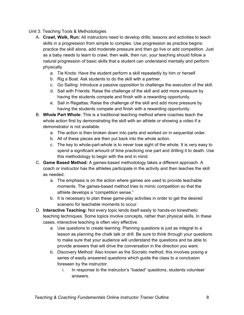#### Unit 3: Teaching Tools & Methodologies

- A. **Crawl, Walk, Run:** All instructors need to develop drills, lessons and activities to teach skills in a progression from simple to complex. Use progression as practice begins: practice the skill alone, add moderate pressure and then go live or add competition. Just as a baby needs to learn to crawl, then walk, then run, your teaching should follow a natural progression of basic skills that a student can understand mentally and perform physically.
	- a. Tie Knots: Have the student perform a skill repeatedly by him or herself.
	- b. Rig a Boat: Ask students to do the skill with a partner.
	- c. Go Sailing: Introduce a passive opposition to challenge the execution of the skill.
	- d. Sail with Friends: Raise the challenge of the skill and add more pressure by having the students compete and finish with a rewarding opportunity.
	- e. Sail in Regattas: Raise the challenge of the skill and add more pressure by having the students compete and finish with a rewarding opportunity.
- B. **Whole Part Whole:** This is a traditional teaching method where coaches teach the whole action first by demonstrating the skill with an athlete or showing a video if a demonstrator is not available.
	- a. The action is then broken down into parts and worked on in sequential order.
	- b. All of these pieces are then put back into the whole action.
	- c. The key to whole-part-whole is to never lose sight of the whole. It is very easy to spend a significant amount of time practicing one part and drilling it to death. Use this methodology to begin with the end in mind.
- C. **Game Based Method:** A games-based methodology takes a different approach. A coach or instructor has the athletes participate in the activity and then teaches the skill as needed.
	- a. The emphasis is on the action where games are used to provide teachable moments. The games-based method tries to mimic competition so that the athlete develops a "competition sense."
	- b. It is necessary to plan these game-play activities in order to get the desired scenario for teachable moments to occur.
- D. **Interactive Teaching:** Not every topic lends itself easily to hands-on kinesthetic teaching techniques. Some topics involve concepts, rather than physical skills. In these cases, interactive teaching is often very effective.
	- a. Use questions to create learning: Planning questions is just as integral to a lesson as planning the chalk talk or drill. Be sure to think through your questions to make sure that your audience will understand the questions and be able to provide answers that will drive the conversation in the direction you want.
	- b. Discovery Method: Also known as the Socratic method, this involves posing a series of easily answered questions which guide the class to a conclusion foreseen by the instructor.
		- i. In response to the instructor's "loaded" questions, students volunteer answers.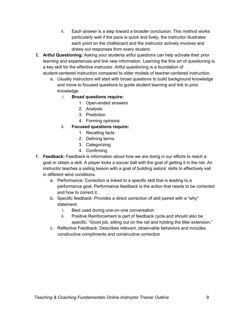- ii. Each answer is a step toward a broader conclusion. This method works particularly well if the pace is quick and lively, the instructor illustrates each point on the chalkboard and the instructor actively involves and draws out responses from every student.
- E. **Artful Questioning:** Asking your students artful questions can help activate their prior learning and experiences and link new information. Learning the fine art of questioning is a key skill for the effective instructor. Artful questioning is a foundation of student-centered instruction compared to older models of teacher-centered instruction.
	- a. Usually instructors will start with broad questions to build background knowledge and move to focused questions to guide student learning and link to prior knowledge.
		- i. **Broad questions require:**
			- 1. Open-ended answers
			- 2. Analysis
			- 3. Prediction
			- 4. Forming opinions
		- ii. **Focused questions require:**
			- 1. Recalling facts
			- 2. Defining terms
			- 3. Categorizing
			- 4. Confirming
- F. **Feedback:** Feedback is information about how we are doing in our efforts to reach a goal or obtain a skill. A player kicks a soccer ball with the goal of getting it in the net. An instructor teaches a sailing lesson with a goal of building sailors' skills to effectively sail in different wind conditions.
	- a. Performance: Correction is linked to a specific skill that is leading to a performance goal. Performance feedback is the action that needs to be corrected and how to correct it.
	- b. Specific feedback: Provides a direct correction of skill paired with a "why" statement.
		- i. Best used during one-on-one conversation
		- ii. Positive Reinforcement is part of feedback cycle and should also be specific: "Good job, sitting out on the rail and holding the tiller extension."
	- c. Reflective Feedback: Describes relevant, observable behaviors and includes constructive compliments and constructive correction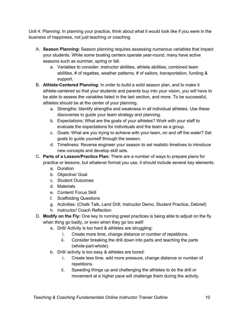Unit 4: Planning: In planning your practice, think about what it would look like if you were in the business of happiness, not just teaching or coaching.

- A. **Season Planning:** Season planning requires assessing numerous variables that impact your students. While some boating centers operate year-round, many have active seasons such as summer, spring or fall.
	- a. Variables to consider: instructor abilities, athlete abilities, combined team abilities, # of regattas, weather patterns, # of sailors, transportation, funding & support.
- B. **Athlete-Centered Planning**: In order to build a solid season plan, and to make it athlete-centered so that your students and parents buy into your vision, you will have to be able to assess the variables listed in the last section, and more. To be successful, athletes should be at the center of your planning.
	- a. Strengths: Identify strengths and weakness in all individual athletes. Use these discoveries to guide your team strategy and planning.
	- b. Expectations: What are the goals of your athletes? Work with your staff to evaluate the expectations for individuals and the team as a group.
	- c. Goals: What are you trying to achieve with your team, on and off the water? Set goals to guide yourself through the season.
	- d. Timeliness: Reverse engineer your season to set realistic timelines to introduce new concepts and develop skill sets.
- C. **Parts of a Lesson/Practice Plan:** There are a number of ways to prepare plans for
	- practice or lessons, but whatever format you use, it should include several key elements.
		- a. Duration
		- b. Objective/ Goal
		- c. Student Outcomes
		- d. Materials
		- e. Content/ Focus Skill
		- f. Scaffolding Questions
		- g. Activities: (Chalk Talk, Land Drill, Instructor Demo, Student Practice, Debrief)
		- h. Instructor/ Coach Reflection
- D. **Modify on the Fly:** One key to running great practices is being able to adjust on the fly when thing go badly, or even when they go too well!
	- a. Drill/ Activity is too hard & athletes are struggling:
		- i. Create more time, change distance or number of repetitions.
		- ii. Consider breaking the drill down into parts and teaching the parts (whole-part-whole).
	- b. Drill/ activity is too easy & athletes are bored:
		- i. Create less time, add more pressure, change distance or number of repetitions.
		- ii. Speeding things up and challenging the athletes to do the drill or movement at a higher pace will challenge them during the activity.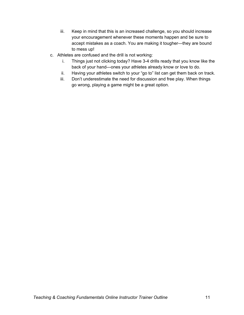- iii. Keep in mind that this is an increased challenge, so you should increase your encouragement whenever these moments happen and be sure to accept mistakes as a coach. You are making it tougher—they are bound to mess up!
- c. Athletes are confused and the drill is not working:
	- i. Things just not clicking today? Have 3-4 drills ready that you know like the back of your hand—ones your athletes already know or love to do.
	- ii. Having your athletes switch to your "go to" list can get them back on track.
	- iii. Don't underestimate the need for discussion and free play. When things go wrong, playing a game might be a great option.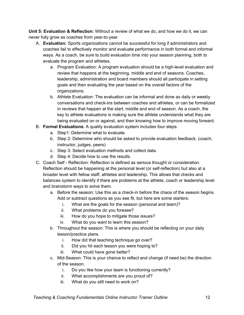**Unit 5: Evaluation & Reflection:** Without a review of what we do, and how we do it, we can never fully grow as coaches from year-to-year.

- A. **Evaluation:** Sports organizations cannot be successful for long if administrators and coaches fail to effectively monitor and evaluate performance in both formal and informal ways. As a coach, be sure to build evaluation time into your season planning, both to evaluate the program and athletes.
	- a. Program Evaluation: A program evaluation should be a high-level evaluation and review that happens at the beginning, middle and end of seasons. Coaches, leadership, administration and board members should all participate in setting goals and then evaluating the year based on the overall factors of the organizations.
	- b. Athlete Evaluation: The evaluation can be informal and done as daily or weekly conversations and check-ins between coaches and athletes, or can be formalized in reviews that happen at the start, middle and end of season. As a coach, the key to athlete evaluations is making sure the athlete understands what they are being evaluated on or against, and then knowing how to improve moving forward.
- B. **Formal Evaluations**: A quality evaluation system includes four steps.
	- a. Step1: Determine what to evaluate.
	- b. Step 2: Determine who should be asked to provide evaluation feedback. (coach, instructor, judges, peers)
	- c. Step 3: Select evaluation methods and collect data.
	- d. Step 4: Decide how to use the results.
- C. Coach Self Reflection: Reflection is defined as serious thought or consideration. Reflection should be happening at the personal level (or self-reflection) but also at a broader level with fellow staff, athletes and leadership. This allows that checks and balances system to identify if there are problems at the athlete, coach or leadership level and brainstorm ways to solve them.
	- a. Before the season: Use this as a check-in before the chaos of the season begins. Add or subtract questions as you see fit, but here are some starters:
		- i. What are the goals for the season (personal and team)?
		- ii. What problems do you foresee?
		- iii. How do you hope to mitigate those issues?
		- iv. What do you want to learn this season?
	- b. Throughout the season: This is where you should be reflecting on your daily lesson/practice plans.
		- i. How did that teaching technique go over?
		- ii. Did you hit each lesson you were hoping to?
		- iii. What could have gone better?
	- c. Mid-Season: This is your chance to reflect and change (if need be) the direction of the season.
		- i. Do you like how your team is functioning currently?
		- ii. What accomplishments are you proud of?
		- iii. What do you still need to work on?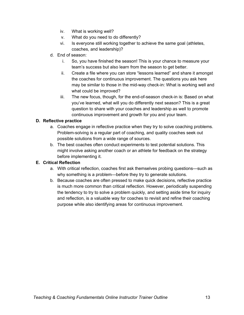- iv. What is working well?
- v. What do you need to do differently?
- vi. Is everyone still working together to achieve the same goal (athletes, coaches, and leadership)?
- d. End of season:
	- i. So, you have finished the season! This is your chance to measure your team's success but also learn from the season to get better.
	- ii. Create a file where you can store "lessons learned" and share it amongst the coaches for continuous improvement. The questions you ask here may be similar to those in the mid-way check-in: What is working well and what could be improved?
	- iii. The new focus, though, for the end-of-season check-in is: Based on what you've learned, what will you do differently next season? This is a great question to share with your coaches and leadership as well to promote continuous improvement and growth for you and your team.

## **D. Reflective practice**

- a. Coaches engage in reflective practice when they try to solve coaching problems. Problem-solving is a regular part of coaching, and quality coaches seek out possible solutions from a wide range of sources.
- b. The best coaches often conduct experiments to test potential solutions. This might involve asking another coach or an athlete for feedback on the strategy before implementing it.

## **E. Critical Reflection**

- a. With critical reflection, coaches first ask themselves probing questions—such as why something is a problem—before they try to generate solutions.
- b. Because coaches are often pressed to make quick decisions, reflective practice is much more common than critical reflection. However, periodically suspending the tendency to try to solve a problem quickly, and setting aside time for inquiry and reflection, is a valuable way for coaches to revisit and refine their coaching purpose while also identifying areas for continuous improvement.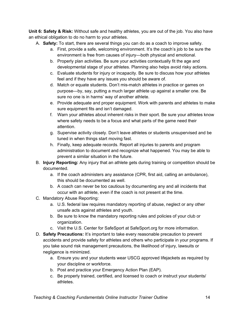**Unit 6: Safety & Risk:** Without safe and healthy athletes, you are out of the job. You also have an ethical obligation to do no harm to your athletes.

- A. **Safety:** To start, there are several things you can do as a coach to improve safety.
	- a. First, provide a safe, welcoming environment. It's the coach's job to be sure the environment is free from causes of injury—both physical and emotional.
	- b. Properly plan activities. Be sure your activities contextually fit the age and developmental stage of your athletes. Planning also helps avoid risky actions.
	- c. Evaluate students for injury or incapacity. Be sure to discuss how your athletes feel and if they have any issues you should be aware of.
	- d. Match or equate students. Don't mis-match athletes in practice or games on purpose—by, say, putting a much larger athlete up against a smaller one. Be sure no one is in harms' way of another athlete.
	- e. Provide adequate and proper equipment. Work with parents and athletes to make sure equipment fits and isn't damaged.
	- f. Warn your athletes about inherent risks in their sport. Be sure your athletes know where safety needs to be a focus and what parts of the game need their attention.
	- g. Supervise activity closely. Don't leave athletes or students unsupervised and be tuned in when things start moving fast.
	- h. Finally, keep adequate records. Report all injuries to parents and program administration to document and recognize what happened. You may be able to prevent a similar situation in the future.
- B. **Injury Reporting:** Any injury that an athlete gets during training or competition should be documented.
	- a. If the coach administers any assistance (CPR, first aid, calling an ambulance), this should be documented as well.
	- b. A coach can never be too cautious by documenting any and all incidents that occur with an athlete, even if the coach is not present at the time.
- C. Mandatory Abuse Reporting:
	- a. U.S. federal law requires mandatory reporting of abuse, neglect or any other unsafe acts against athletes and youth.
	- b. Be sure to know the mandatory reporting rules and policies of your club or organization.
	- c. Visit the U.S. Center for SafeSport at SafeSport.org for more information.
- D. **Safety Precautions:** It's important to take every reasonable precaution to prevent accidents and provide safety for athletes and others who participate in your programs. If you take sound risk management precautions, the likelihood of injury, lawsuits or negligence is minimized.
	- a. Ensure you and your students wear USCG approved lifejackets as required by your discipline or workforce.
	- b. Post and practice your Emergency Action Plan (EAP).
	- c. Be properly trained, certified, and licensed to coach or instruct your students/ athletes.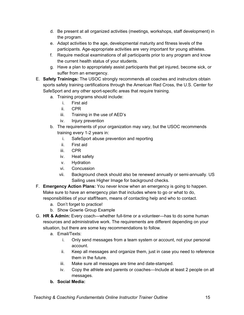- d. Be present at all organized activities (meetings, workshops, staff development) in the program.
- e. Adapt activities to the age, developmental maturity and fitness levels of the participants. Age-appropriate activities are very important for young athletes.
- f. Require medical examinations of all participants prior to any program and know the current health status of your students.
- g. Have a plan to appropriately assist participants that get injured, become sick, or suffer from an emergency.
- E. **Safety Trainings:** The USOC strongly recommends all coaches and instructors obtain sports safety training certifications through the American Red Cross, the U.S. Center for SafeSport and any other sport-specific areas that require training.
	- a. Training programs should include:
		- i. First aid
		- ii. CPR
		- iii. Training in the use of AED's
		- iv. Injury prevention
	- b. The requirements of your organization may vary, but the USOC recommends training every 1-2 years in:
		- i. SafeSport abuse prevention and reporting
		- ii. First aid
		- iii. CPR
		- iv. Heat safety
		- v. Hydration
		- vi. Concussion
		- vii. Background check should also be renewed annually or semi-annually. US Sailing uses Higher Image for background checks.
- F. **Emergency Action Plans:** You never know when an emergency is going to happen. Make sure to have an emergency plan that includes where to go or what to do, responsibilities of your staff/team, means of contacting help and who to contact.
	- a. Don't forget to practice!
	- b. Show Gowrie Group Example
- G. **HR & Admin:** Every coach—whether full-time or a volunteer—has to do some human resources and administrative work. The requirements are different depending on your situation, but there are some key recommendations to follow.
	- a. Email/Texts:
		- i. Only send messages from a team system or account, not your personal account.
		- ii. Keep all messages and organize them, just in case you need to reference them in the future.
		- iii. Make sure all messages are time and date-stamped.
		- iv. Copy the athlete and parents or coaches—Include at least 2 people on all messages.
	- **b. Social Media:**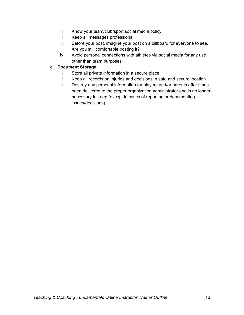- i. Know your team/club/sport social media policy.
- ii. Keep all messages professional.
- iii. Before your post, imagine your post on a billboard for everyone to see. Are you still comfortable posting it?
- iv. Avoid personal connections with athletes via social media for any use other than team purposes

### **c. Document Storage:**

- i. Store all private information in a secure place.
- ii. Keep all records on injuries and decisions in safe and secure location.
- iii. Destroy any personal information for players and/or parents after it has been delivered to the proper organization administrator and is no longer necessary to keep (except in cases of reporting or documenting issues/decisions).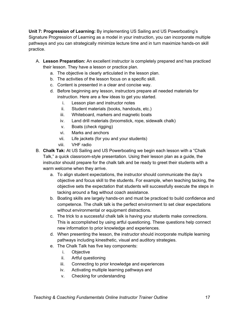**Unit 7: Progression of Learning:** By implementing US Sailing and US Powerboating's Signature Progression of Learning as a model in your instruction, you can incorporate multiple pathways and you can strategically minimize lecture time and in turn maximize hands-on skill practice.

- A. **Lesson Preparation:** An excellent instructor is completely prepared and has practiced their lesson. They have a lesson or practice plan.
	- a. The objective is clearly articulated in the lesson plan.
	- b. The activities of the lesson focus on a specific skill.
	- c. Content is presented in a clear and concise way.
	- d. Before beginning any lesson, instructors prepare all needed materials for instruction. Here are a few ideas to get you started.
		- i. Lesson plan and instructor notes
		- ii. Student materials (books, handouts, etc.)
		- iii. Whiteboard, markers and magnetic boats
		- iv. Land drill materials (broomstick, rope, sidewalk chalk)
		- v. Boats (check rigging)
		- vi. Marks and anchors
		- vii. Life jackets (for you and your students)
		- viii. VHF radio
- B. **Chalk Tak:** At US Sailing and US Powerboating we begin each lesson with a "Chalk Talk," a quick classroom-style presentation. Using their lesson plan as a guide, the instructor should prepare for the chalk talk and be ready to greet their students with a warm welcome when they arrive.
	- a. To align student expectations, the instructor should communicate the day's objective and focus skill to the students. For example, when teaching tacking, the objective sets the expectation that students will successfully execute the steps in tacking around a flag without coach assistance.
	- b. Boating skills are largely hands-on and must be practiced to build confidence and competence. The chalk talk is the perfect environment to set clear expectations without environmental or equipment distractions.
	- c. The trick to a successful chalk talk is having your students make connections. This is accomplished by using artful questioning. These questions help connect new information to prior knowledge and experiences.
	- d. When presenting the lesson, the instructor should incorporate multiple learning pathways including kinesthetic, visual and auditory strategies.
	- e. The Chalk Talk has five key components:
		- i. Objective
		- ii. Artful questioning
		- iii. Connecting to prior knowledge and experiences
		- iv. Activating multiple learning pathways and
		- v. Checking for understanding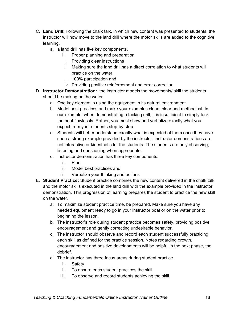- C. **Land Drill**: Following the chalk talk, in which new content was presented to students, the instructor will now move to the land drill where the motor skills are added to the cognitive learning.
	- a. a land drill has five key components.
		- i. Proper planning and preparation
		- i. Providing clear instructions
		- ii. Making sure the land drill has a direct correlation to what students will practice on the water
		- iii. 100% participation and
		- iv. Providing positive reinforcement and error correction
- D. **Instructor Demonstration:** the instructor models the movements/ skill the students should be making on the water.
	- a. One key element is using the equipment in its natural environment.
	- b. Model best practices and make your examples clean, clear and methodical. In our example, when demonstrating a tacking drill, it is insufficient to simply tack the boat flawlessly. Rather, you must show and verbalize exactly what you expect from your students step-by-step.
	- c. Students will better understand exactly what is expected of them once they have seen a strong example provided by the instructor. Instructor demonstrations are not interactive or kinesthetic for the students. The students are only observing, listening and questioning when appropriate.
	- d. Instructor demonstration has three key components:
		- i. Plan
		- ii. Model best practices and
		- iii. Verbalize your thinking and actions
- E. **Student Practice:** Student practice combines the new content delivered in the chalk talk and the motor skills executed in the land drill with the example provided in the instructor demonstration. This progression of learning prepares the student to practice the new skill on the water.
	- a. To maximize student practice time, be prepared. Make sure you have any needed equipment ready to go in your instructor boat or on the water prior to beginning the lesson.
	- b. The instructor's role during student practice becomes safety, providing positive encouragement and gently correcting undesirable behavior.
	- c. The instructor should observe and record each student successfully practicing each skill as defined for the practice session. Notes regarding growth, encouragement and positive developments will be helpful in the next phase, the debrief.
	- d. The instructor has three focus areas during student practice.
		- i. Safety
		- ii. To ensure each student practices the skill
		- iii. To observe and record students achieving the skill